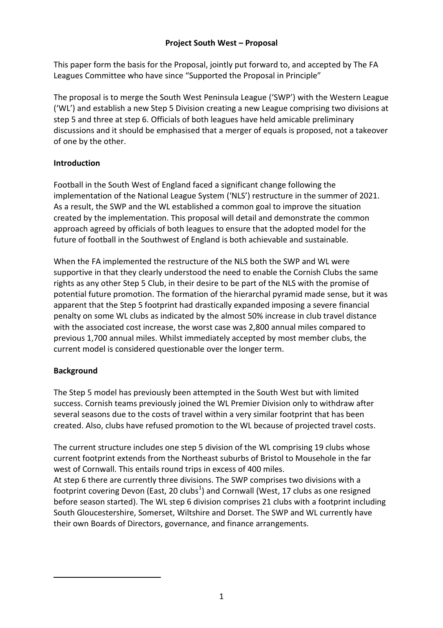# **Project South West – Proposal**

This paper form the basis for the Proposal, jointly put forward to, and accepted by The FA Leagues Committee who have since "Supported the Proposal in Principle"

The proposal is to merge the South West Peninsula League ('SWP') with the Western League ('WL') and establish a new Step 5 Division creating a new League comprising two divisions at step 5 and three at step 6. Officials of both leagues have held amicable preliminary discussions and it should be emphasised that a merger of equals is proposed, not a takeover of one by the other.

# **Introduction**

Football in the South West of England faced a significant change following the implementation of the National League System ('NLS') restructure in the summer of 2021. As a result, the SWP and the WL established a common goal to improve the situation created by the implementation. This proposal will detail and demonstrate the common approach agreed by officials of both leagues to ensure that the adopted model for the future of football in the Southwest of England is both achievable and sustainable.

When the FA implemented the restructure of the NLS both the SWP and WL were supportive in that they clearly understood the need to enable the Cornish Clubs the same rights as any other Step 5 Club, in their desire to be part of the NLS with the promise of potential future promotion. The formation of the hierarchal pyramid made sense, but it was apparent that the Step 5 footprint had drastically expanded imposing a severe financial penalty on some WL clubs as indicated by the almost 50% increase in club travel distance with the associated cost increase, the worst case was 2,800 annual miles compared to previous 1,700 annual miles. Whilst immediately accepted by most member clubs, the current model is considered questionable over the longer term.

# **Background**

 $\overline{a}$ 

The Step 5 model has previously been attempted in the South West but with limited success. Cornish teams previously joined the WL Premier Division only to withdraw after several seasons due to the costs of travel within a very similar footprint that has been created. Also, clubs have refused promotion to the WL because of projected travel costs.

The current structure includes one step 5 division of the WL comprising 19 clubs whose current footprint extends from the Northeast suburbs of Bristol to Mousehole in the far west of Cornwall. This entails round trips in excess of 400 miles.

At step 6 there are currently three divisions. The SWP comprises two divisions with a footprint covering Devon (East, 20 clubs $^1$ ) and Cornwall (West, 17 clubs as one resigned before season started). The WL step 6 division comprises 21 clubs with a footprint including South Gloucestershire, Somerset, Wiltshire and Dorset. The SWP and WL currently have their own Boards of Directors, governance, and finance arrangements.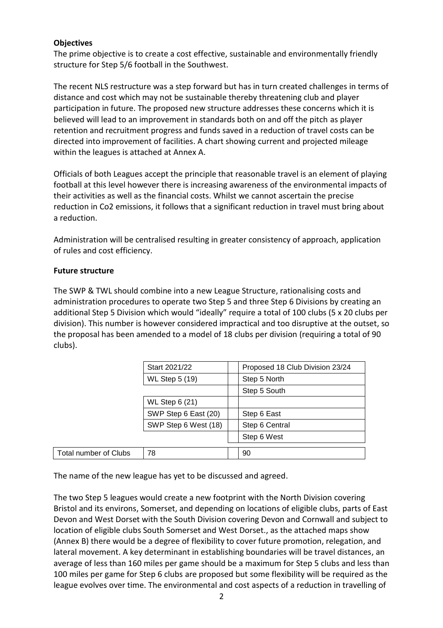### **Objectives**

The prime objective is to create a cost effective, sustainable and environmentally friendly structure for Step 5/6 football in the Southwest.

The recent NLS restructure was a step forward but has in turn created challenges in terms of distance and cost which may not be sustainable thereby threatening club and player participation in future. The proposed new structure addresses these concerns which it is believed will lead to an improvement in standards both on and off the pitch as player retention and recruitment progress and funds saved in a reduction of travel costs can be directed into improvement of facilities. A chart showing current and projected mileage within the leagues is attached at Annex A.

Officials of both Leagues accept the principle that reasonable travel is an element of playing football at this level however there is increasing awareness of the environmental impacts of their activities as well as the financial costs. Whilst we cannot ascertain the precise reduction in Co2 emissions, it follows that a significant reduction in travel must bring about a reduction.

Administration will be centralised resulting in greater consistency of approach, application of rules and cost efficiency.

#### **Future structure**

The SWP & TWL should combine into a new League Structure, rationalising costs and administration procedures to operate two Step 5 and three Step 6 Divisions by creating an additional Step 5 Division which would "ideally" require a total of 100 clubs (5 x 20 clubs per division). This number is however considered impractical and too disruptive at the outset, so the proposal has been amended to a model of 18 clubs per division (requiring a total of 90 clubs).

|                              | Start 2021/22         | Proposed 18 Club Division 23/24 |
|------------------------------|-----------------------|---------------------------------|
|                              | <b>WL Step 5 (19)</b> | Step 5 North                    |
|                              |                       | Step 5 South                    |
|                              | <b>WL Step 6 (21)</b> |                                 |
|                              | SWP Step 6 East (20)  | Step 6 East                     |
|                              | SWP Step 6 West (18)  | Step 6 Central                  |
|                              |                       | Step 6 West                     |
|                              | 78                    |                                 |
| <b>Total number of Clubs</b> |                       | 90                              |

The name of the new league has yet to be discussed and agreed.

The two Step 5 leagues would create a new footprint with the North Division covering Bristol and its environs, Somerset, and depending on locations of eligible clubs, parts of East Devon and West Dorset with the South Division covering Devon and Cornwall and subject to location of eligible clubs South Somerset and West Dorset., as the attached maps show (Annex B) there would be a degree of flexibility to cover future promotion, relegation, and lateral movement. A key determinant in establishing boundaries will be travel distances, an average of less than 160 miles per game should be a maximum for Step 5 clubs and less than 100 miles per game for Step 6 clubs are proposed but some flexibility will be required as the league evolves over time. The environmental and cost aspects of a reduction in travelling of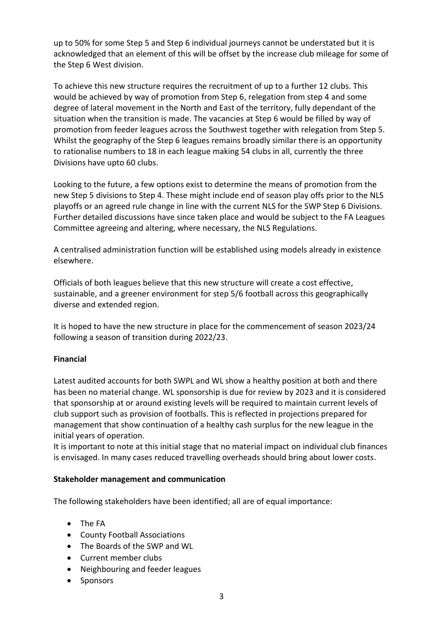up to 50% for some Step 5 and Step 6 individual journeys cannot be understated but it is acknowledged that an element of this will be offset by the increase club mileage for some of the Step 6 West division.

To achieve this new structure requires the recruitment of up to a further 12 clubs. This would be achieved by way of promotion from Step 6, relegation from step 4 and some degree of lateral movement in the North and East of the territory, fully dependant of the situation when the transition is made. The vacancies at Step 6 would be filled by way of promotion from feeder leagues across the Southwest together with relegation from Step 5. Whilst the geography of the Step 6 leagues remains broadly similar there is an opportunity to rationalise numbers to 18 in each league making 54 clubs in all, currently the three Divisions have upto 60 clubs.

Looking to the future, a few options exist to determine the means of promotion from the new Step 5 divisions to Step 4. These might include end of season play offs prior to the NLS playoffs or an agreed rule change in line with the current NLS for the SWP Step 6 Divisions. Further detailed discussions have since taken place and would be subject to the FA Leagues Committee agreeing and altering, where necessary, the NLS Regulations.

A centralised administration function will be established using models already in existence elsewhere.

Officials of both leagues believe that this new structure will create a cost effective, sustainable, and a greener environment for step 5/6 football across this geographically diverse and extended region.

It is hoped to have the new structure in place for the commencement of season 2023/24 following a season of transition during 2022/23.

## **Financial**

Latest audited accounts for both SWPL and WL show a healthy position at both and there has been no material change. WL sponsorship is due for review by 2023 and it is considered that sponsorship at or around existing levels will be required to maintain current levels of club support such as provision of footballs. This is reflected in projections prepared for management that show continuation of a healthy cash surplus for the new league in the initial years of operation.

It is important to note at this initial stage that no material impact on individual club finances is envisaged. In many cases reduced travelling overheads should bring about lower costs.

## **Stakeholder management and communication**

The following stakeholders have been identified; all are of equal importance:

- The FA
- County Football Associations
- The Boards of the SWP and WL
- Current member clubs
- Neighbouring and feeder leagues
- Sponsors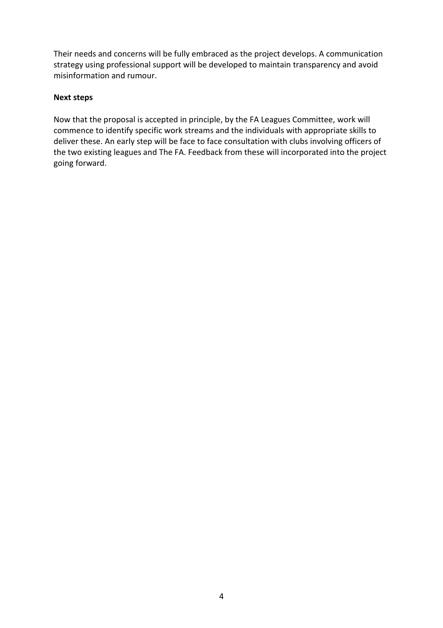Their needs and concerns will be fully embraced as the project develops. A communication strategy using professional support will be developed to maintain transparency and avoid misinformation and rumour.

#### **Next steps**

Now that the proposal is accepted in principle, by the FA Leagues Committee, work will commence to identify specific work streams and the individuals with appropriate skills to deliver these. An early step will be face to face consultation with clubs involving officers of the two existing leagues and The FA. Feedback from these will incorporated into the project going forward.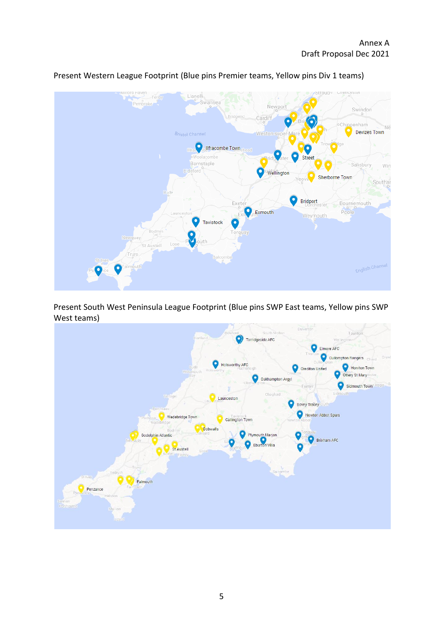

Present Western League Footprint (Blue pins Premier teams, Yellow pins Div 1 teams)

Present South West Peninsula League Footprint (Blue pins SWP East teams, Yellow pins SWP West teams)